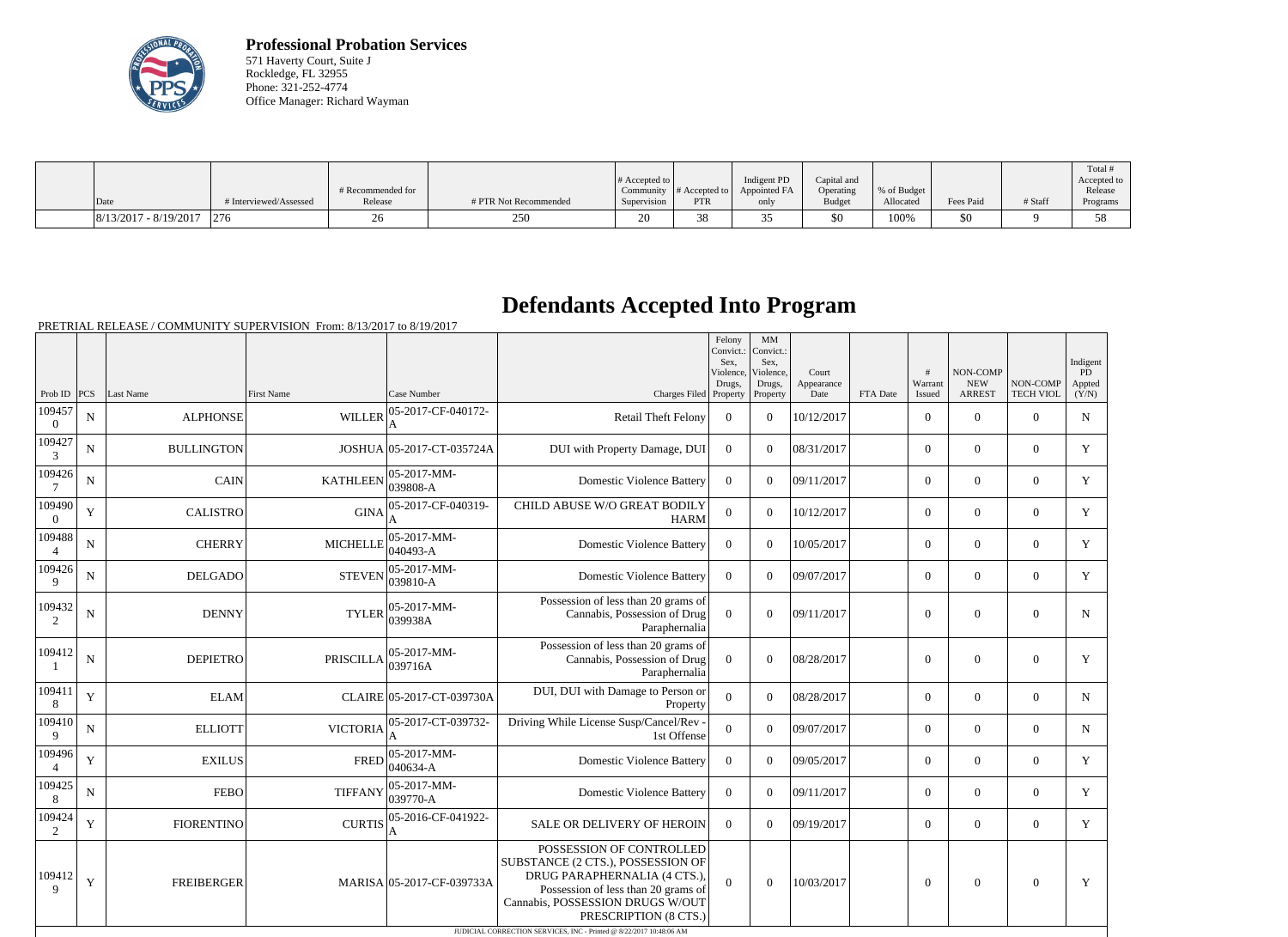

**Professional Probation Services** 571 Haverty Court, Suite J Rockledge, FL 32955 Phone: 321-252-4774 Office Manager: Richard Wayman

|                         |                        |                   |                       |                  |                                 |              |               |             |           |         | Total       |
|-------------------------|------------------------|-------------------|-----------------------|------------------|---------------------------------|--------------|---------------|-------------|-----------|---------|-------------|
|                         |                        |                   |                       | $\#$ Accepted to |                                 | Indigent PD  | Capital and   |             |           |         | Accepted to |
|                         |                        | # Recommended for |                       | Community        | # Accepted to                   | Appointed FA | Operating     | % of Budget |           |         | Release     |
| Date                    | # Interviewed/Assessed | Release           | # PTR Not Recommended | Supervision      | <b>PTR</b>                      | only         | <b>Budget</b> | Allocated   | Fees Paid | # Staff | Programs    |
| $8/13/2017 - 8/19/2017$ | 276                    |                   | 250<br>∠J∪            | 20               | n c<br>$\overline{\mathcal{O}}$ |              | \$0           | 100%        | 50        |         | 58          |

## **Defendants Accepted Into Program**

|                           |             |                   |                   |                                   |                                                                                                                                                                                                                                                                          | Felony<br>Convict.:<br>Sex.<br>Violence,<br>Drugs, | MM<br>Convict.:<br>Sex.<br>Violence,<br>Drugs, | Court<br>Appearance |          | #<br>Warrant   | NON-COMP<br><b>NEW</b> | NON-COMP         | Indigent<br>PD<br>Appted |
|---------------------------|-------------|-------------------|-------------------|-----------------------------------|--------------------------------------------------------------------------------------------------------------------------------------------------------------------------------------------------------------------------------------------------------------------------|----------------------------------------------------|------------------------------------------------|---------------------|----------|----------------|------------------------|------------------|--------------------------|
| Prob ID<br>109457         | PCS         | Last Name         | <b>First Name</b> | Case Number<br>05-2017-CF-040172- | Charges Filed Property                                                                                                                                                                                                                                                   |                                                    | Property                                       | Date                | FTA Date | Issued         | <b>ARREST</b>          | <b>TECH VIOL</b> | (Y/N)                    |
| $\overline{0}$            | N           | <b>ALPHONSE</b>   | <b>WILLER</b>     | A                                 | <b>Retail Theft Felony</b>                                                                                                                                                                                                                                               | $\overline{0}$                                     | $\theta$                                       | 10/12/2017          |          | $\overline{0}$ | $\boldsymbol{0}$       | $\overline{0}$   | $\mathbf N$              |
| 109427<br>3               | N           | <b>BULLINGTON</b> |                   | JOSHUA 05-2017-CT-035724A         | DUI with Property Damage, DUI                                                                                                                                                                                                                                            | $\overline{0}$                                     | $\Omega$                                       | 08/31/2017          |          | $\overline{0}$ | $\overline{0}$         | $\overline{0}$   | Y                        |
| 109426<br>$7\phantom{.0}$ | ${\bf N}$   | CAIN              | <b>KATHLEEN</b>   | 05-2017-MM-<br>039808-A           | <b>Domestic Violence Battery</b>                                                                                                                                                                                                                                         | $\overline{0}$                                     | $\Omega$                                       | 09/11/2017          |          | $\overline{0}$ | $\overline{0}$         | $\overline{0}$   | Y                        |
| 109490<br>$\overline{0}$  | $\mathbf Y$ | <b>CALISTRO</b>   | <b>GINA</b>       | 05-2017-CF-040319-                | CHILD ABUSE W/O GREAT BODILY<br><b>HARM</b>                                                                                                                                                                                                                              | $\overline{0}$                                     | $\Omega$                                       | 10/12/2017          |          | $\overline{0}$ | $\overline{0}$         | $\overline{0}$   | Y                        |
| 109488<br>$\overline{4}$  | $\mathbf N$ | <b>CHERRY</b>     | <b>MICHELLE</b>   | 05-2017-MM-<br>040493-A           | <b>Domestic Violence Battery</b>                                                                                                                                                                                                                                         | $\Omega$                                           | $\Omega$                                       | 10/05/2017          |          | $\overline{0}$ | $\overline{0}$         | $\overline{0}$   | Y                        |
| 109426<br>9               | $\mathbf N$ | <b>DELGADO</b>    | <b>STEVEN</b>     | 05-2017-MM-<br>$ 039810 - A$      | <b>Domestic Violence Battery</b>                                                                                                                                                                                                                                         | $\overline{0}$                                     | $\Omega$                                       | 09/07/2017          |          | $\overline{0}$ | $\overline{0}$         | $\overline{0}$   | Y                        |
| 109432<br>2               | $\mathbf N$ | <b>DENNY</b>      | <b>TYLER</b>      | 05-2017-MM-<br>039938A            | Possession of less than 20 grams of<br>Cannabis, Possession of Drug<br>Paraphernalia                                                                                                                                                                                     | $\overline{0}$                                     | $\theta$                                       | 09/11/2017          |          | $\overline{0}$ | $\theta$               | $\mathbf{0}$     | $\mathbf N$              |
| 109412                    | ${\bf N}$   | <b>DEPIETRO</b>   | <b>PRISCILLA</b>  | $ 05-2017-MM-$<br> 039716A        | Possession of less than 20 grams of<br>Cannabis, Possession of Drug<br>Paraphernalia                                                                                                                                                                                     | $\Omega$                                           | $\boldsymbol{0}$                               | 08/28/2017          |          | $\mathbf{0}$   | $\mathbf{0}$           | $\mathbf{0}$     | Y                        |
| 109411<br>8               | Y           | <b>ELAM</b>       |                   | CLAIRE 05-2017-CT-039730A         | DUI, DUI with Damage to Person or<br>Property                                                                                                                                                                                                                            | $\overline{0}$                                     | $\Omega$                                       | 08/28/2017          |          | $\overline{0}$ | $\overline{0}$         | $\Omega$         | $\mathbf N$              |
| 109410<br>9               | ${\bf N}$   | <b>ELLIOTT</b>    | <b>VICTORIA</b>   | 05-2017-CT-039732-                | Driving While License Susp/Cancel/Rev<br>1st Offense                                                                                                                                                                                                                     | $\overline{0}$                                     | $\Omega$                                       | 09/07/2017          |          | $\overline{0}$ | $\boldsymbol{0}$       | $\overline{0}$   | ${\bf N}$                |
| 109496<br>$\overline{4}$  | $\mathbf Y$ | <b>EXILUS</b>     | <b>FRED</b>       | 05-2017-MM-<br>040634-A           | <b>Domestic Violence Battery</b>                                                                                                                                                                                                                                         | $\overline{0}$                                     | $\Omega$                                       | 09/05/2017          |          | $\overline{0}$ | $\boldsymbol{0}$       | $\overline{0}$   | Y                        |
| 109425<br>8               | $\mathbf N$ | <b>FEBO</b>       | <b>TIFFANY</b>    | 05-2017-MM-<br>039770-A           | <b>Domestic Violence Battery</b>                                                                                                                                                                                                                                         | $\overline{0}$                                     | $\Omega$                                       | 09/11/2017          |          | $\overline{0}$ | $\overline{0}$         | $\overline{0}$   | Y                        |
| 109424<br>2               | Y           | <b>FIORENTINO</b> | <b>CURTIS</b>     | 05-2016-CF-041922-<br>А           | SALE OR DELIVERY OF HEROIN                                                                                                                                                                                                                                               | $\Omega$                                           | $\Omega$                                       | 09/19/2017          |          | $\overline{0}$ | $\boldsymbol{0}$       | $\overline{0}$   | $\mathbf Y$              |
| 109412<br>$\mathbf Q$     | $\mathbf Y$ | <b>FREIBERGER</b> |                   | MARISA 05-2017-CF-039733A         | POSSESSION OF CONTROLLED<br>SUBSTANCE (2 CTS.), POSSESSION OF<br>DRUG PARAPHERNALIA (4 CTS.),<br>Possession of less than 20 grams of<br>Cannabis, POSSESSION DRUGS W/OUT<br>PRESCRIPTION (8 CTS.)<br>JUDICIAL CORRECTION SERVICES, INC - Printed @ 8/22/2017 10:48:06 AM | $\overline{0}$                                     | $\mathbf{0}$                                   | 10/03/2017          |          | $\overline{0}$ | $\overline{0}$         | $\overline{0}$   | Y                        |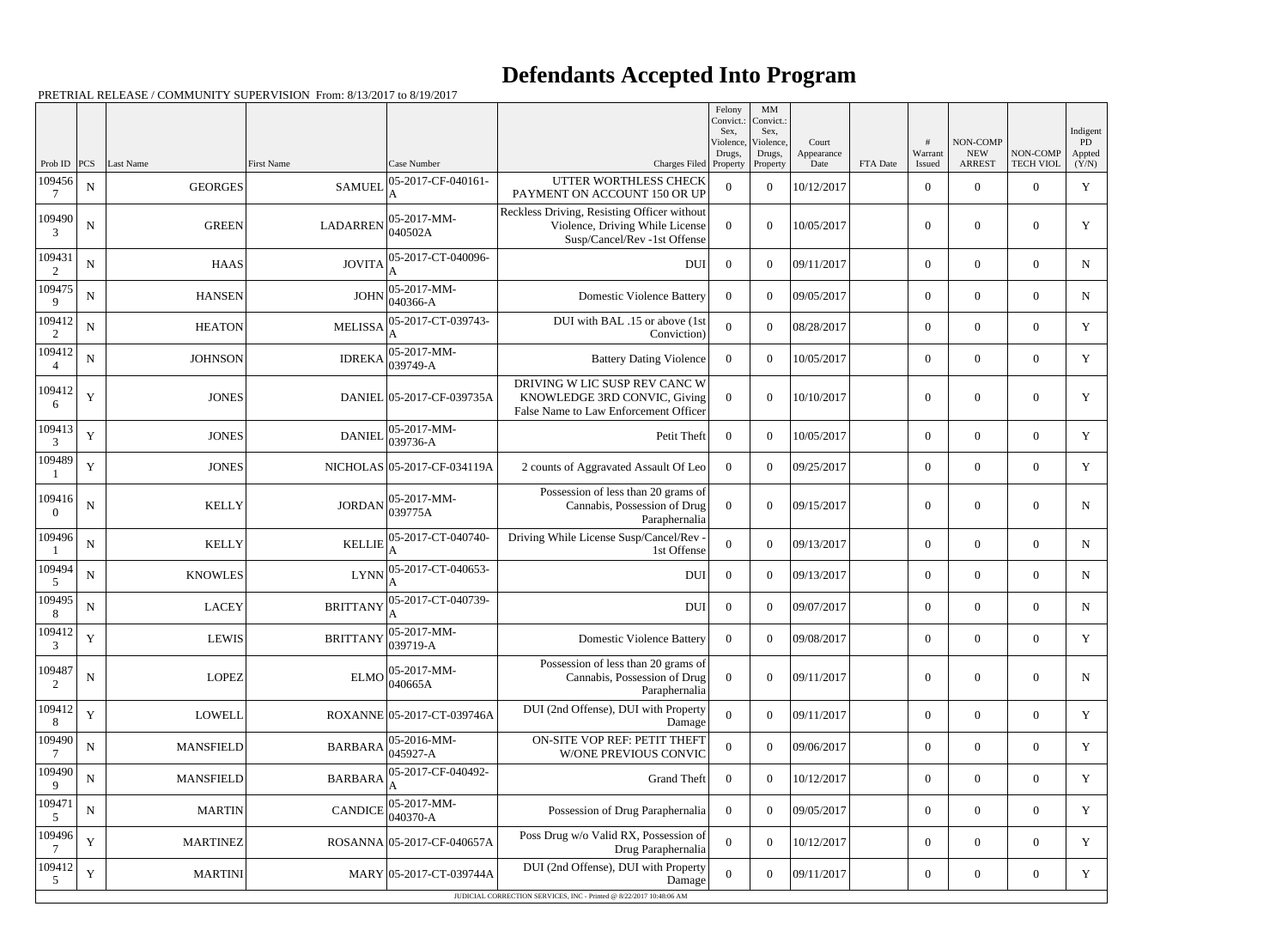## **Defendants Accepted Into Program**

|                          |             |                  |                                                                                                                                                                                                                                                                                                                                                                                                                    |                                                   |                                                                                                                | Felony<br>Convict.:<br>Sex. | MM<br>Convict.:<br>Sex,         |                             |          |                        |                                         |                              | Indigent                |
|--------------------------|-------------|------------------|--------------------------------------------------------------------------------------------------------------------------------------------------------------------------------------------------------------------------------------------------------------------------------------------------------------------------------------------------------------------------------------------------------------------|---------------------------------------------------|----------------------------------------------------------------------------------------------------------------|-----------------------------|---------------------------------|-----------------------------|----------|------------------------|-----------------------------------------|------------------------------|-------------------------|
| Prob ID                  | <b>PCS</b>  | Last Name        | First Name                                                                                                                                                                                                                                                                                                                                                                                                         | Case Number                                       | Charges Filed Property                                                                                         | Violence,<br>Drugs,         | Violence.<br>Drugs,<br>Property | Court<br>Appearance<br>Date | FTA Date | #<br>Warrant<br>Issued | NON-COMP<br><b>NEW</b><br><b>ARREST</b> | NON-COMP<br><b>TECH VIOL</b> | PD -<br>Appted<br>(Y/N) |
| 109456<br>7              | ${\bf N}$   | <b>GEORGES</b>   | <b>SAMUEI</b>                                                                                                                                                                                                                                                                                                                                                                                                      | 05-2017-CF-040161-                                | UTTER WORTHLESS CHECK<br>PAYMENT ON ACCOUNT 150 OR UP                                                          | $\theta$                    | $\overline{0}$                  | 10/12/2017                  |          | $\boldsymbol{0}$       | $\overline{0}$                          | $\overline{0}$               | Y                       |
| 109490<br>3              | $\mathbf N$ | <b>GREEN</b>     | <b>LADARREN</b>                                                                                                                                                                                                                                                                                                                                                                                                    | $ 05-2017-MM-$<br>040502A                         | Reckless Driving, Resisting Officer without<br>Violence, Driving While License<br>Susp/Cancel/Rev -1st Offense | $\Omega$                    | $\theta$                        | 10/05/2017                  |          | $\boldsymbol{0}$       | $\overline{0}$                          | $\overline{0}$               | Y                       |
| 109431<br>$\overline{2}$ | ${\bf N}$   | <b>HAAS</b>      | <b>JOVITA</b>                                                                                                                                                                                                                                                                                                                                                                                                      | 05-2017-CT-040096-                                | <b>DUI</b>                                                                                                     | $\overline{0}$              | $\overline{0}$                  | 09/11/2017                  |          | $\boldsymbol{0}$       | $\overline{0}$                          | $\overline{0}$               | N                       |
| 109475<br>9              | ${\bf N}$   | <b>HANSEN</b>    | <b>JOHN</b>                                                                                                                                                                                                                                                                                                                                                                                                        | 05-2017-MM-<br>040366-A                           | <b>Domestic Violence Battery</b>                                                                               | $\Omega$                    | $\overline{0}$                  | 09/05/2017                  |          | $\overline{0}$         | $\boldsymbol{0}$                        | $\overline{0}$               | $N_{\rm}$               |
| 109412<br>2              | ${\bf N}$   | <b>HEATON</b>    | <b>MELISSA</b>                                                                                                                                                                                                                                                                                                                                                                                                     | 05-2017-CT-039743-                                | DUI with BAL .15 or above (1st<br>Conviction)                                                                  | $\theta$                    | $\boldsymbol{0}$                | 08/28/2017                  |          | $\boldsymbol{0}$       | $\overline{0}$                          | $\overline{0}$               | Y                       |
| 109412                   | $\mathbf N$ | <b>JOHNSON</b>   |                                                                                                                                                                                                                                                                                                                                                                                                                    | 05-2017-MM-<br>IDREKA $\big _{039749-A}^{\infty}$ | <b>Battery Dating Violence</b>                                                                                 | $\Omega$                    | $\boldsymbol{0}$                | 10/05/2017                  |          | $\overline{0}$         | $\overline{0}$                          | $\overline{0}$               | Y                       |
| 109412<br>6              | Y           | <b>JONES</b>     |                                                                                                                                                                                                                                                                                                                                                                                                                    | DANIEL 05-2017-CF-039735A                         | DRIVING W LIC SUSP REV CANC W<br>KNOWLEDGE 3RD CONVIC, Giving<br>False Name to Law Enforcement Officer         | $\Omega$                    | $\boldsymbol{0}$                | 10/10/2017                  |          | $\boldsymbol{0}$       | $\overline{0}$                          | $\overline{0}$               | Y                       |
| 109413<br>3              | $\mathbf Y$ | <b>JONES</b>     | <b>DANIEL</b>                                                                                                                                                                                                                                                                                                                                                                                                      | 05-2017-MM-<br>039736-A                           | Petit Theft                                                                                                    | $\overline{0}$              | $\boldsymbol{0}$                | 10/05/2017                  |          | $\overline{0}$         | $\overline{0}$                          | $\overline{0}$               | Y                       |
| 109489                   | $\mathbf Y$ | <b>JONES</b>     |                                                                                                                                                                                                                                                                                                                                                                                                                    | NICHOLAS 05-2017-CF-034119A                       | 2 counts of Aggravated Assault Of Leo                                                                          | $\overline{0}$              | $\theta$                        | 09/25/2017                  |          | $\overline{0}$         | $\overline{0}$                          | $\overline{0}$               | Y                       |
| 109416<br>$\Omega$       | $\mathbf N$ | <b>KELLY</b>     | <b>JORDAN</b>                                                                                                                                                                                                                                                                                                                                                                                                      | 05-2017-MM-<br>039775A                            | Possession of less than 20 grams of<br>Cannabis, Possession of Drug<br>Paraphernalia                           | $\Omega$                    | $\boldsymbol{0}$                | 09/15/2017                  |          | $\boldsymbol{0}$       | $\boldsymbol{0}$                        | $\boldsymbol{0}$             | N                       |
| 109496                   | $\mathbf N$ | <b>KELLY</b>     | <b>KELLIE</b>                                                                                                                                                                                                                                                                                                                                                                                                      | 05-2017-CT-040740-<br>A                           | Driving While License Susp/Cancel/Rev -<br>1st Offense                                                         | $\theta$                    | $\boldsymbol{0}$                | 09/13/2017                  |          | $\overline{0}$         | $\overline{0}$                          | $\overline{0}$               | N                       |
| 109494<br>5              | ${\bf N}$   | <b>KNOWLES</b>   | <b>LYNN</b>                                                                                                                                                                                                                                                                                                                                                                                                        | 05-2017-CT-040653-                                | DUI                                                                                                            | $\overline{0}$              | $\overline{0}$                  | 09/13/2017                  |          | $\overline{0}$         | $\boldsymbol{0}$                        | $\overline{0}$               | $N_{\rm}$               |
| 109495<br>8              | ${\bf N}$   | <b>LACEY</b>     | <b>BRITTANY</b>                                                                                                                                                                                                                                                                                                                                                                                                    | 05-2017-CT-040739-                                | <b>DUI</b>                                                                                                     | $\overline{0}$              | $\overline{0}$                  | 09/07/2017                  |          | $\boldsymbol{0}$       | $\overline{0}$                          | $\overline{0}$               | N                       |
| 109412<br>3              | $\mathbf Y$ | <b>LEWIS</b>     |                                                                                                                                                                                                                                                                                                                                                                                                                    | $BRITTANY$ $\Big  05 - 2017 - MM -$<br>039719-A   | <b>Domestic Violence Battery</b>                                                                               | $\overline{0}$              | $\boldsymbol{0}$                | 09/08/2017                  |          | $\boldsymbol{0}$       | $\boldsymbol{0}$                        | $\boldsymbol{0}$             | Y                       |
| 109487<br>2              | ${\bf N}$   | <b>LOPEZ</b>     | <b>ELMO</b>                                                                                                                                                                                                                                                                                                                                                                                                        | $ 05-2017-MM-$<br>040665A                         | Possession of less than 20 grams of<br>Cannabis, Possession of Drug<br>Paraphernalia                           | $\Omega$                    | $\boldsymbol{0}$                | 09/11/2017                  |          | $\boldsymbol{0}$       | $\boldsymbol{0}$                        | $\boldsymbol{0}$             | N                       |
| 109412<br>8              | Y           | <b>LOWELL</b>    |                                                                                                                                                                                                                                                                                                                                                                                                                    | ROXANNE 05-2017-CT-039746A                        | DUI (2nd Offense), DUI with Property<br>Damage                                                                 | $\theta$                    | $\boldsymbol{0}$                | 09/11/2017                  |          | $\overline{0}$         | $\overline{0}$                          | $\overline{0}$               | Y                       |
| 109490                   | ${\bf N}$   | <b>MANSFIELD</b> | $\text{BARBARA} \big  \begin{array}{@{}c@{\hspace{1em}}c@{\hspace{1em}}c@{\hspace{1em}}c@{\hspace{1em}}c@{\hspace{1em}}c@{\hspace{1em}}c@{\hspace{1em}}c@{\hspace{1em}}c@{\hspace{1em}}c@{\hspace{1em}}c@{\hspace{1em}}c@{\hspace{1em}}c@{\hspace{1em}}c@{\hspace{1em}}c@{\hspace{1em}}c@{\hspace{1em}}c@{\hspace{1em}}c@{\hspace{1em}}c@{\hspace{1em}}c@{\hspace{1em}}c@{\hspace{1em}}c@{\hspace{1em}}c@{\hspace$ | $05-2016-MM$ -                                    | ON-SITE VOP REF: PETIT THEFT<br><b>W/ONE PREVIOUS CONVIC</b>                                                   | $\overline{0}$              | $\boldsymbol{0}$                | 09/06/2017                  |          | $\overline{0}$         | $\boldsymbol{0}$                        | $\overline{0}$               | Y                       |
| 109490<br>9              | ${\bf N}$   | <b>MANSFIELD</b> | <b>BARBARA</b>                                                                                                                                                                                                                                                                                                                                                                                                     | 05-2017-CF-040492-                                | <b>Grand Theft</b>                                                                                             | $\overline{0}$              | $\overline{0}$                  | 10/12/2017                  |          | $\overline{0}$         | $\boldsymbol{0}$                        | $\overline{0}$               | Y                       |
| 109471<br>5              | ${\bf N}$   | <b>MARTIN</b>    | <b>CANDICE</b>                                                                                                                                                                                                                                                                                                                                                                                                     | 05-2017-MM-<br>040370-A                           | Possession of Drug Paraphernalia                                                                               | $\overline{0}$              | $\overline{0}$                  | 09/05/2017                  |          | $\overline{0}$         | $\overline{0}$                          | $\overline{0}$               | Y                       |
| 109496                   | $\mathbf Y$ | <b>MARTINEZ</b>  |                                                                                                                                                                                                                                                                                                                                                                                                                    | ROSANNA 05-2017-CF-040657A                        | Poss Drug w/o Valid RX, Possession of<br>Drug Paraphernalia                                                    | $\Omega$                    | $\boldsymbol{0}$                | 10/12/2017                  |          | $\overline{0}$         | $\boldsymbol{0}$                        | $\overline{0}$               | Y                       |
| 109412<br>5              | Y           | <b>MARTINI</b>   |                                                                                                                                                                                                                                                                                                                                                                                                                    | MARY 05-2017-CT-039744A                           | DUI (2nd Offense), DUI with Property<br>Damage                                                                 | $\overline{0}$              | $\boldsymbol{0}$                | 09/11/2017                  |          | $\boldsymbol{0}$       | $\overline{0}$                          | $\overline{0}$               | Y                       |
|                          |             |                  |                                                                                                                                                                                                                                                                                                                                                                                                                    |                                                   | JUDICIAL CORRECTION SERVICES, INC - Printed @ 8/22/2017 10:48:06 AM                                            |                             |                                 |                             |          |                        |                                         |                              |                         |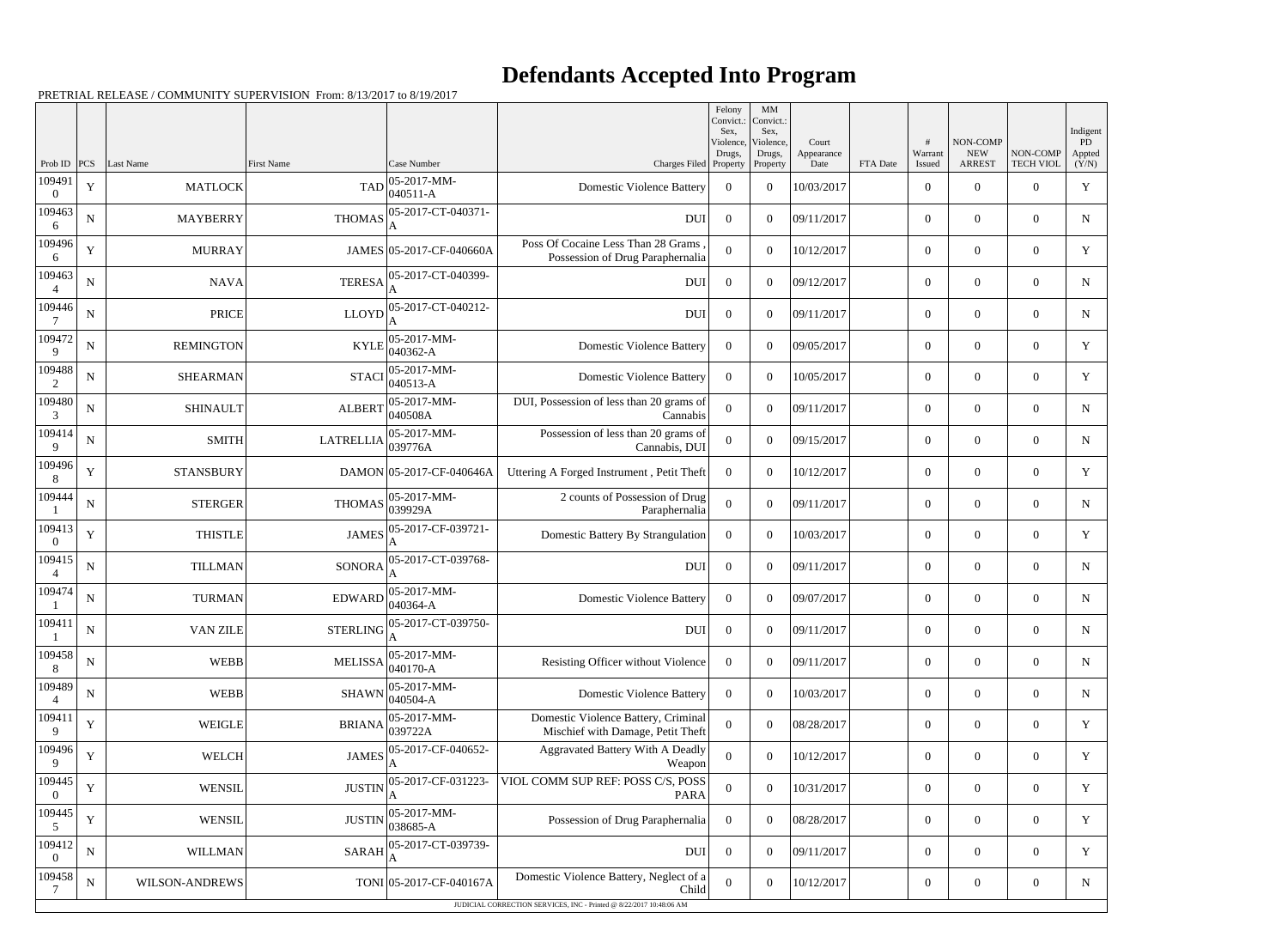## **Defendants Accepted Into Program**

|                          |             |                  |                   |                                                           |                                                                             | Felony<br>Convict.:<br>Sex. | MM<br>Convict.:<br>Sex,         |                             |          |                        |                                         |                              | Indigent                     |
|--------------------------|-------------|------------------|-------------------|-----------------------------------------------------------|-----------------------------------------------------------------------------|-----------------------------|---------------------------------|-----------------------------|----------|------------------------|-----------------------------------------|------------------------------|------------------------------|
| Prob ID                  | PCS         | Last Name        | <b>First Name</b> | Case Number                                               | Charges Filed Property                                                      | Violence,<br>Drugs,         | Violence,<br>Drugs,<br>Property | Court<br>Appearance<br>Date | FTA Date | #<br>Warrant<br>Issued | NON-COMP<br><b>NEW</b><br><b>ARREST</b> | NON-COMP<br><b>TECH VIOL</b> | <b>PD</b><br>Appted<br>(Y/N) |
| 109491<br>$\Omega$       | $\mathbf Y$ | <b>MATLOCK</b>   | <b>TAD</b>        | 05-2017-MM-<br>040511-A                                   | <b>Domestic Violence Battery</b>                                            | $\overline{0}$              | $\overline{0}$                  | 10/03/2017                  |          | $\overline{0}$         | $\theta$                                | $\overline{0}$               | Y                            |
| 109463<br>6              | ${\bf N}$   | <b>MAYBERRY</b>  | <b>THOMAS</b>     | 05-2017-CT-040371-                                        | <b>DUI</b>                                                                  | $\overline{0}$              | $\theta$                        | 09/11/2017                  |          | $\overline{0}$         | $\overline{0}$                          | $\overline{0}$               | $\mathbf N$                  |
| 109496<br>6              | $\mathbf Y$ | <b>MURRAY</b>    |                   | JAMES 05-2017-CF-040660A                                  | Poss Of Cocaine Less Than 28 Grams<br>Possession of Drug Paraphernalia      | $\theta$                    | $\theta$                        | 10/12/2017                  |          | $\theta$               | $\theta$                                | $\overline{0}$               | Y                            |
| 109463                   | ${\bf N}$   | NAVA             | <b>TERESA</b>     | 05-2017-CT-040399-                                        | <b>DUI</b>                                                                  | $\overline{0}$              | $\theta$                        | 09/12/2017                  |          | $\theta$               | $\overline{0}$                          | $\overline{0}$               | N                            |
| 109446                   | ${\bf N}$   | <b>PRICE</b>     | <b>LLOYD</b>      | 05-2017-CT-040212-                                        | <b>DUI</b>                                                                  | $\overline{0}$              | $\Omega$                        | 09/11/2017                  |          | $\theta$               | $\theta$                                | $\overline{0}$               | N                            |
| 109472                   | ${\bf N}$   | <b>REMINGTON</b> | <b>KYLE</b>       | 05-2017-MM-                                               | <b>Domestic Violence Battery</b>                                            | $\Omega$                    | $\theta$                        | 09/05/2017                  |          | $\overline{0}$         | $\overline{0}$                          | $\overline{0}$               | Y                            |
| 9<br>109488              | ${\bf N}$   | <b>SHEARMAN</b>  | <b>STACI</b>      | 040362-A<br>05-2017-MM-                                   | <b>Domestic Violence Battery</b>                                            | $\overline{0}$              | $\boldsymbol{0}$                | 10/05/2017                  |          | $\theta$               | $\overline{0}$                          | $\overline{0}$               | Y                            |
| $\overline{2}$<br>109480 | ${\bf N}$   | <b>SHINAULT</b>  | <b>ALBERT</b>     | 040513-A<br>05-2017-MM-                                   | DUI, Possession of less than 20 grams of                                    | $\mathbf{0}$                | $\overline{0}$                  | 09/11/2017                  |          | $\overline{0}$         | $\overline{0}$                          | $\overline{0}$               | N                            |
| 3<br>109414              | ${\bf N}$   | <b>SMITH</b>     | <b>LATRELLIA</b>  | 040508A<br>05-2017-MM-                                    | Cannabis<br>Possession of less than 20 grams of                             | $\theta$                    | $\theta$                        | 09/15/2017                  |          | $\theta$               | $\theta$                                | $\overline{0}$               | N                            |
| 9<br>109496              | $\mathbf Y$ | <b>STANSBURY</b> |                   | 039776A<br>DAMON 05-2017-CF-040646A                       | Cannabis, DUI                                                               | $\Omega$                    | $\theta$                        | 10/12/2017                  |          | $\overline{0}$         | $\overline{0}$                          | $\overline{0}$               | Y                            |
| 8<br>109444              |             |                  |                   | 05-2017-MM-                                               | Uttering A Forged Instrument, Petit Theft<br>2 counts of Possession of Drug |                             |                                 |                             |          |                        |                                         |                              |                              |
| 109413                   | ${\bf N}$   | <b>STERGER</b>   | <b>THOMAS</b>     | 039929A<br>05-2017-CF-039721-                             | Paraphernalia                                                               | $\overline{0}$              | $\boldsymbol{0}$                | 09/11/2017                  |          | $\overline{0}$         | $\overline{0}$                          | $\overline{0}$               | N                            |
| $\Omega$                 | $\mathbf Y$ | <b>THISTLE</b>   | <b>JAMES</b>      |                                                           | Domestic Battery By Strangulation                                           | $\Omega$                    | $\theta$                        | 10/03/2017                  |          | $\overline{0}$         | $\overline{0}$                          | $\overline{0}$               | Y                            |
| 109415<br>$\overline{4}$ | ${\bf N}$   | <b>TILLMAN</b>   | <b>SONORA</b>     | 05-2017-CT-039768-                                        | <b>DUI</b>                                                                  | $\overline{0}$              | $\theta$                        | 09/11/2017                  |          | $\theta$               | $\theta$                                | $\overline{0}$               | N                            |
| 109474                   | ${\bf N}$   | <b>TURMAN</b>    | <b>EDWARD</b>     | 05-2017-MM-<br>040364-A                                   | <b>Domestic Violence Battery</b>                                            | $\Omega$                    | $\Omega$                        | 09/07/2017                  |          | $\overline{0}$         | $\overline{0}$                          | $\overline{0}$               | N                            |
| 109411                   | ${\bf N}$   | VAN ZILE         |                   | $\text{STERLING}\Big ^\text{05-2017-CT-039750-}_\text{A}$ | <b>DUI</b>                                                                  | $\overline{0}$              | $\boldsymbol{0}$                | 09/11/2017                  |          | $\boldsymbol{0}$       | $\mathbf{0}$                            | $\overline{0}$               | ${\bf N}$                    |
| 109458<br>8              | ${\bf N}$   | WEBB             | <b>MELISSA</b>    | 05-2017-MM-<br>040170-A                                   | Resisting Officer without Violence                                          | $\overline{0}$              | $\boldsymbol{0}$                | 09/11/2017                  |          | $\overline{0}$         | $\boldsymbol{0}$                        | $\boldsymbol{0}$             | N                            |
| 109489<br>4              | ${\bf N}$   | WEBB             | <b>SHAWN</b>      | 05-2017-MM-<br>040504-A                                   | <b>Domestic Violence Battery</b>                                            | $\overline{0}$              | $\boldsymbol{0}$                | 10/03/2017                  |          | $\overline{0}$         | $\overline{0}$                          | $\overline{0}$               | $\mathbf N$                  |
| 109411<br>9              | $\mathbf Y$ | <b>WEIGLE</b>    | <b>BRIANA</b>     | 05-2017-MM-<br>039722A                                    | Domestic Violence Battery, Criminal<br>Mischief with Damage, Petit Theft    | $\boldsymbol{0}$            | $\overline{0}$                  | 08/28/2017                  |          | $\overline{0}$         | $\boldsymbol{0}$                        | $\boldsymbol{0}$             | Y                            |
| 109496<br>9              | $\mathbf Y$ | <b>WELCH</b>     | <b>JAMES</b>      | 05-2017-CF-040652-                                        | Aggravated Battery With A Deadly<br>Weapon                                  | $\overline{0}$              | $\boldsymbol{0}$                | 10/12/2017                  |          | $\overline{0}$         | $\overline{0}$                          | $\overline{0}$               | Y                            |
| 109445<br>$\left($       | $\mathbf Y$ | <b>WENSIL</b>    | <b>JUSTIN</b>     | 05-2017-CF-031223-                                        | VIOL COMM SUP REF: POSS C/S, POSS<br><b>PARA</b>                            | $\mathbf{0}$                | $\boldsymbol{0}$                | 10/31/2017                  |          | $\overline{0}$         | $\overline{0}$                          | $\overline{0}$               | Y                            |
| 109445<br>5              | $\mathbf Y$ | <b>WENSIL</b>    | <b>JUSTIN</b>     | 05-2017-MM-<br>038685-A                                   | Possession of Drug Paraphernalia                                            | $\overline{0}$              | $\boldsymbol{0}$                | 08/28/2017                  |          | $\overline{0}$         | $\overline{0}$                          | $\overline{0}$               | Y                            |
| 109412<br>$\left($       | ${\bf N}$   | WILLMAN          | <b>SARAH</b>      | 05-2017-CT-039739-                                        | <b>DUI</b>                                                                  | $\overline{0}$              | $\overline{0}$                  | 09/11/2017                  |          | $\overline{0}$         | $\overline{0}$                          | $\overline{0}$               | Y                            |
| 109458<br>7              | $\mathbf N$ | WILSON-ANDREWS   |                   | TONI 05-2017-CF-040167A                                   | Domestic Violence Battery, Neglect of a<br>Child                            | $\theta$                    | $\boldsymbol{0}$                | 10/12/2017                  |          | $\overline{0}$         | $\overline{0}$                          | $\overline{0}$               | $\mathbf N$                  |
|                          |             |                  |                   |                                                           | JUDICIAL CORRECTION SERVICES, INC - Printed @ 8/22/2017 10:48:06 AM         |                             |                                 |                             |          |                        |                                         |                              |                              |